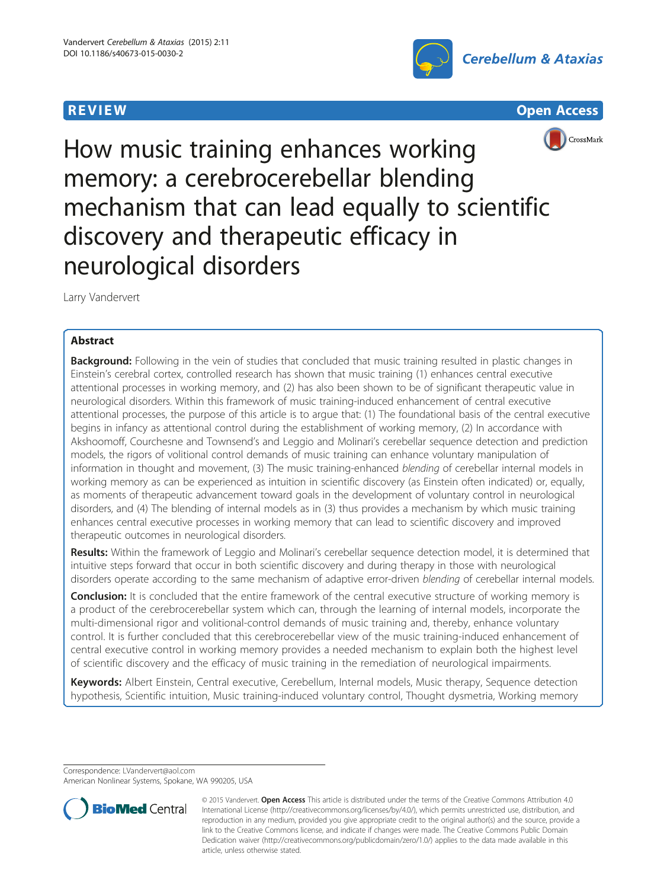





How music training enhances working memory: a cerebrocerebellar blending mechanism that can lead equally to scientific discovery and therapeutic efficacy in neurological disorders

Larry Vandervert

# Abstract

**Background:** Following in the vein of studies that concluded that music training resulted in plastic changes in Einstein's cerebral cortex, controlled research has shown that music training (1) enhances central executive attentional processes in working memory, and (2) has also been shown to be of significant therapeutic value in neurological disorders. Within this framework of music training-induced enhancement of central executive attentional processes, the purpose of this article is to argue that: (1) The foundational basis of the central executive begins in infancy as attentional control during the establishment of working memory, (2) In accordance with Akshoomoff, Courchesne and Townsend's and Leggio and Molinari's cerebellar sequence detection and prediction models, the rigors of volitional control demands of music training can enhance voluntary manipulation of information in thought and movement, (3) The music training-enhanced blending of cerebellar internal models in working memory as can be experienced as intuition in scientific discovery (as Einstein often indicated) or, equally, as moments of therapeutic advancement toward goals in the development of voluntary control in neurological disorders, and (4) The blending of internal models as in (3) thus provides a mechanism by which music training enhances central executive processes in working memory that can lead to scientific discovery and improved therapeutic outcomes in neurological disorders.

Results: Within the framework of Leggio and Molinari's cerebellar sequence detection model, it is determined that intuitive steps forward that occur in both scientific discovery and during therapy in those with neurological disorders operate according to the same mechanism of adaptive error-driven blending of cerebellar internal models.

Conclusion: It is concluded that the entire framework of the central executive structure of working memory is a product of the cerebrocerebellar system which can, through the learning of internal models, incorporate the multi-dimensional rigor and volitional-control demands of music training and, thereby, enhance voluntary control. It is further concluded that this cerebrocerebellar view of the music training-induced enhancement of central executive control in working memory provides a needed mechanism to explain both the highest level of scientific discovery and the efficacy of music training in the remediation of neurological impairments.

Keywords: Albert Einstein, Central executive, Cerebellum, Internal models, Music therapy, Sequence detection hypothesis, Scientific intuition, Music training-induced voluntary control, Thought dysmetria, Working memory

Correspondence: [LVandervert@aol.com](mailto:LVandervert@aol.com)

American Nonlinear Systems, Spokane, WA 990205, USA



<sup>© 2015</sup> Vandervert. Open Access This article is distributed under the terms of the Creative Commons Attribution 4.0 International License [\(http://creativecommons.org/licenses/by/4.0/\)](http://creativecommons.org/licenses/by/4.0/), which permits unrestricted use, distribution, and reproduction in any medium, provided you give appropriate credit to the original author(s) and the source, provide a link to the Creative Commons license, and indicate if changes were made. The Creative Commons Public Domain Dedication waiver ([http://creativecommons.org/publicdomain/zero/1.0/\)](http://creativecommons.org/publicdomain/zero/1.0/) applies to the data made available in this article, unless otherwise stated.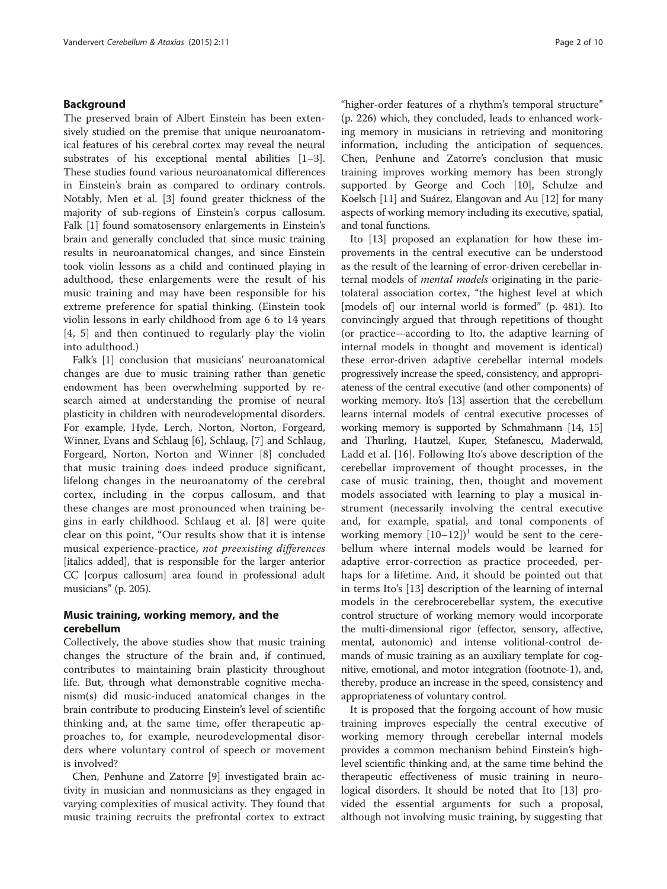## Background

The preserved brain of Albert Einstein has been extensively studied on the premise that unique neuroanatomical features of his cerebral cortex may reveal the neural substrates of his exceptional mental abilities [\[1](#page-8-0)–[3](#page-8-0)]. These studies found various neuroanatomical differences in Einstein's brain as compared to ordinary controls. Notably, Men et al. [\[3](#page-8-0)] found greater thickness of the majority of sub-regions of Einstein's corpus callosum. Falk [\[1](#page-8-0)] found somatosensory enlargements in Einstein's brain and generally concluded that since music training results in neuroanatomical changes, and since Einstein took violin lessons as a child and continued playing in adulthood, these enlargements were the result of his music training and may have been responsible for his extreme preference for spatial thinking. (Einstein took violin lessons in early childhood from age 6 to 14 years [[4, 5\]](#page-8-0) and then continued to regularly play the violin into adulthood.)

Falk's [\[1](#page-8-0)] conclusion that musicians' neuroanatomical changes are due to music training rather than genetic endowment has been overwhelming supported by research aimed at understanding the promise of neural plasticity in children with neurodevelopmental disorders. For example, Hyde, Lerch, Norton, Norton, Forgeard, Winner, Evans and Schlaug [\[6](#page-8-0)], Schlaug, [[7](#page-8-0)] and Schlaug, Forgeard, Norton, Norton and Winner [[8\]](#page-8-0) concluded that music training does indeed produce significant, lifelong changes in the neuroanatomy of the cerebral cortex, including in the corpus callosum, and that these changes are most pronounced when training begins in early childhood. Schlaug et al. [[8\]](#page-8-0) were quite clear on this point, "Our results show that it is intense musical experience-practice, not preexisting differences [italics added], that is responsible for the larger anterior CC [corpus callosum] area found in professional adult musicians" (p. 205).

# Music training, working memory, and the cerebellum

Collectively, the above studies show that music training changes the structure of the brain and, if continued, contributes to maintaining brain plasticity throughout life. But, through what demonstrable cognitive mechanism(s) did music-induced anatomical changes in the brain contribute to producing Einstein's level of scientific thinking and, at the same time, offer therapeutic approaches to, for example, neurodevelopmental disorders where voluntary control of speech or movement is involved?

Chen, Penhune and Zatorre [[9\]](#page-8-0) investigated brain activity in musician and nonmusicians as they engaged in varying complexities of musical activity. They found that music training recruits the prefrontal cortex to extract

"higher-order features of a rhythm's temporal structure" (p. 226) which, they concluded, leads to enhanced working memory in musicians in retrieving and monitoring information, including the anticipation of sequences. Chen, Penhune and Zatorre's conclusion that music training improves working memory has been strongly supported by George and Coch [\[10\]](#page-8-0), Schulze and Koelsch [\[11\]](#page-8-0) and Suárez, Elangovan and Au [[12](#page-8-0)] for many aspects of working memory including its executive, spatial, and tonal functions.

Ito [\[13](#page-8-0)] proposed an explanation for how these improvements in the central executive can be understood as the result of the learning of error-driven cerebellar internal models of *mental models* originating in the parietolateral association cortex, "the highest level at which [models of] our internal world is formed" (p. 481). Ito convincingly argued that through repetitions of thought (or practice—according to Ito, the adaptive learning of internal models in thought and movement is identical) these error-driven adaptive cerebellar internal models progressively increase the speed, consistency, and appropriateness of the central executive (and other components) of working memory. Ito's [\[13\]](#page-8-0) assertion that the cerebellum learns internal models of central executive processes of working memory is supported by Schmahmann [[14](#page-8-0), [15](#page-8-0)] and Thurling, Hautzel, Kuper, Stefanescu, Maderwald, Ladd et al. [[16](#page-8-0)]. Following Ito's above description of the cerebellar improvement of thought processes, in the case of music training, then, thought and movement models associated with learning to play a musical instrument (necessarily involving the central executive and, for example, spatial, and tonal components of working memory  $[10-12]$  $[10-12]$  $[10-12]$  $[10-12]$ <sup>1</sup> would be sent to the cerebellum where internal models would be learned for adaptive error-correction as practice proceeded, perhaps for a lifetime. And, it should be pointed out that in terms Ito's [[13\]](#page-8-0) description of the learning of internal models in the cerebrocerebellar system, the executive control structure of working memory would incorporate the multi-dimensional rigor (effector, sensory, affective, mental, autonomic) and intense volitional-control demands of music training as an auxiliary template for cognitive, emotional, and motor integration (footnote-1), and, thereby, produce an increase in the speed, consistency and appropriateness of voluntary control.

It is proposed that the forgoing account of how music training improves especially the central executive of working memory through cerebellar internal models provides a common mechanism behind Einstein's highlevel scientific thinking and, at the same time behind the therapeutic effectiveness of music training in neurological disorders. It should be noted that Ito [[13](#page-8-0)] provided the essential arguments for such a proposal, although not involving music training, by suggesting that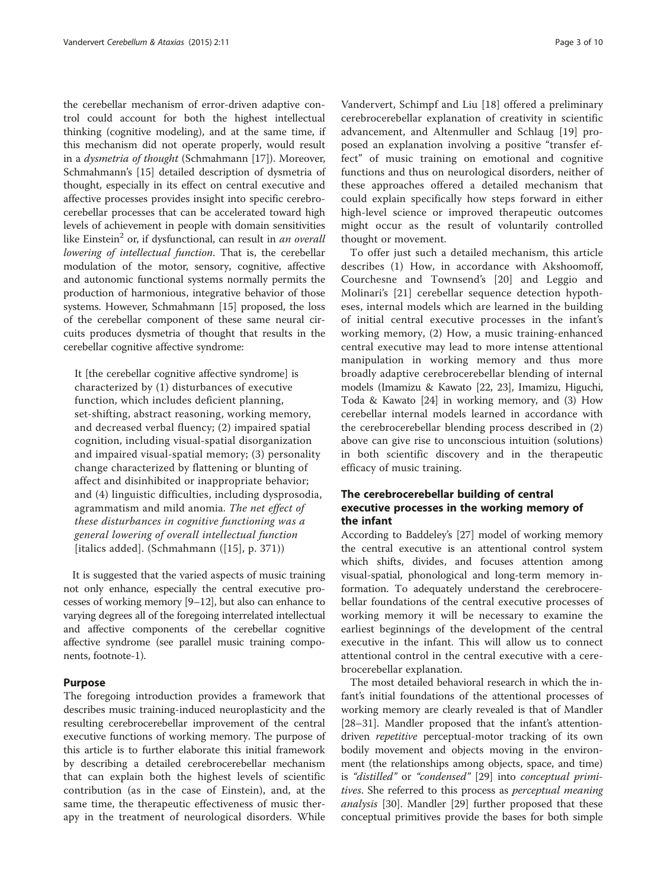the cerebellar mechanism of error-driven adaptive control could account for both the highest intellectual thinking (cognitive modeling), and at the same time, if this mechanism did not operate properly, would result in a dysmetria of thought (Schmahmann [[17\]](#page-8-0)). Moreover, Schmahmann's [[15\]](#page-8-0) detailed description of dysmetria of thought, especially in its effect on central executive and affective processes provides insight into specific cerebrocerebellar processes that can be accelerated toward high levels of achievement in people with domain sensitivities like Einstein<sup>2</sup> or, if dysfunctional, can result in *an overall* lowering of intellectual function. That is, the cerebellar modulation of the motor, sensory, cognitive, affective and autonomic functional systems normally permits the production of harmonious, integrative behavior of those systems. However, Schmahmann [[15](#page-8-0)] proposed, the loss of the cerebellar component of these same neural circuits produces dysmetria of thought that results in the cerebellar cognitive affective syndrome:

It [the cerebellar cognitive affective syndrome] is characterized by (1) disturbances of executive function, which includes deficient planning, set-shifting, abstract reasoning, working memory, and decreased verbal fluency; (2) impaired spatial cognition, including visual-spatial disorganization and impaired visual-spatial memory; (3) personality change characterized by flattening or blunting of affect and disinhibited or inappropriate behavior; and (4) linguistic difficulties, including dysprosodia, agrammatism and mild anomia. The net effect of these disturbances in cognitive functioning was a general lowering of overall intellectual function [italics added]. (Schmahmann ([[15\]](#page-8-0), p. 371))

It is suggested that the varied aspects of music training not only enhance, especially the central executive processes of working memory [\[9](#page-8-0)–[12](#page-8-0)], but also can enhance to varying degrees all of the foregoing interrelated intellectual and affective components of the cerebellar cognitive affective syndrome (see parallel music training components, footnote-1).

### Purpose

The foregoing introduction provides a framework that describes music training-induced neuroplasticity and the resulting cerebrocerebellar improvement of the central executive functions of working memory. The purpose of this article is to further elaborate this initial framework by describing a detailed cerebrocerebellar mechanism that can explain both the highest levels of scientific contribution (as in the case of Einstein), and, at the same time, the therapeutic effectiveness of music therapy in the treatment of neurological disorders. While

Vandervert, Schimpf and Liu [\[18](#page-8-0)] offered a preliminary cerebrocerebellar explanation of creativity in scientific advancement, and Altenmuller and Schlaug [[19\]](#page-8-0) proposed an explanation involving a positive "transfer effect" of music training on emotional and cognitive functions and thus on neurological disorders, neither of these approaches offered a detailed mechanism that could explain specifically how steps forward in either high-level science or improved therapeutic outcomes might occur as the result of voluntarily controlled thought or movement.

To offer just such a detailed mechanism, this article describes (1) How, in accordance with Akshoomoff, Courchesne and Townsend's [[20\]](#page-8-0) and Leggio and Molinari's [[21\]](#page-8-0) cerebellar sequence detection hypotheses, internal models which are learned in the building of initial central executive processes in the infant's working memory, (2) How, a music training-enhanced central executive may lead to more intense attentional manipulation in working memory and thus more broadly adaptive cerebrocerebellar blending of internal models (Imamizu & Kawato [\[22](#page-8-0), [23\]](#page-8-0), Imamizu, Higuchi, Toda & Kawato [[24](#page-8-0)] in working memory, and (3) How cerebellar internal models learned in accordance with the cerebrocerebellar blending process described in (2) above can give rise to unconscious intuition (solutions) in both scientific discovery and in the therapeutic efficacy of music training.

# The cerebrocerebellar building of central executive processes in the working memory of the infant

According to Baddeley's [[27\]](#page-8-0) model of working memory the central executive is an attentional control system which shifts, divides, and focuses attention among visual-spatial, phonological and long-term memory information. To adequately understand the cerebrocerebellar foundations of the central executive processes of working memory it will be necessary to examine the earliest beginnings of the development of the central executive in the infant. This will allow us to connect attentional control in the central executive with a cerebrocerebellar explanation.

The most detailed behavioral research in which the infant's initial foundations of the attentional processes of working memory are clearly revealed is that of Mandler [[28](#page-8-0)–[31](#page-8-0)]. Mandler proposed that the infant's attentiondriven repetitive perceptual-motor tracking of its own bodily movement and objects moving in the environment (the relationships among objects, space, and time) is "distilled" or "condensed" [\[29](#page-8-0)] into conceptual primitives. She referred to this process as perceptual meaning analysis [[30](#page-8-0)]. Mandler [[29\]](#page-8-0) further proposed that these conceptual primitives provide the bases for both simple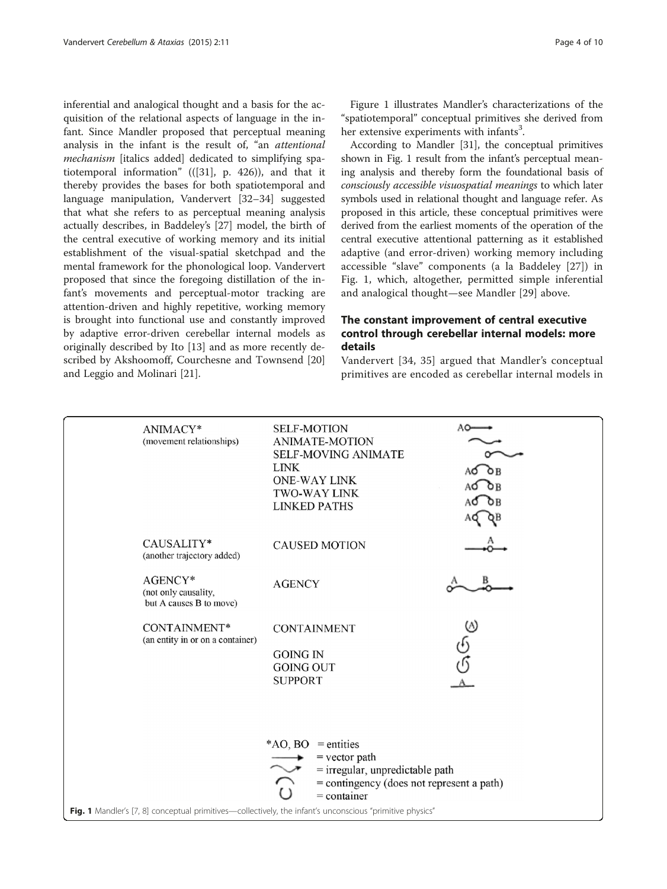<span id="page-3-0"></span>inferential and analogical thought and a basis for the acquisition of the relational aspects of language in the infant. Since Mandler proposed that perceptual meaning analysis in the infant is the result of, "an attentional mechanism [italics added] dedicated to simplifying spatiotemporal information" (([[31\]](#page-8-0), p. 426)), and that it thereby provides the bases for both spatiotemporal and language manipulation, Vandervert [\[32](#page-8-0)–[34\]](#page-8-0) suggested that what she refers to as perceptual meaning analysis actually describes, in Baddeley's [[27\]](#page-8-0) model, the birth of the central executive of working memory and its initial establishment of the visual-spatial sketchpad and the mental framework for the phonological loop. Vandervert proposed that since the foregoing distillation of the infant's movements and perceptual-motor tracking are attention-driven and highly repetitive, working memory is brought into functional use and constantly improved by adaptive error-driven cerebellar internal models as originally described by Ito [[13\]](#page-8-0) and as more recently described by Akshoomoff, Courchesne and Townsend [[20](#page-8-0)] and Leggio and Molinari [\[21\]](#page-8-0).

Figure 1 illustrates Mandler's characterizations of the "spatiotemporal" conceptual primitives she derived from her extensive experiments with infants<sup>3</sup>.

According to Mandler [[31](#page-8-0)], the conceptual primitives shown in Fig. 1 result from the infant's perceptual meaning analysis and thereby form the foundational basis of consciously accessible visuospatial meanings to which later symbols used in relational thought and language refer. As proposed in this article, these conceptual primitives were derived from the earliest moments of the operation of the central executive attentional patterning as it established adaptive (and error-driven) working memory including accessible "slave" components (a la Baddeley [[27](#page-8-0)]) in Fig. 1, which, altogether, permitted simple inferential and analogical thought—see Mandler [[29\]](#page-8-0) above.

# The constant improvement of central executive control through cerebellar internal models: more details

Vandervert [[34](#page-8-0), [35\]](#page-8-0) argued that Mandler's conceptual primitives are encoded as cerebellar internal models in

| <b>SELF-MOTION</b><br>ANIMATE-MOTION<br><b>SELF-MOVING ANIMATE</b><br><b>LINK</b><br><b>ONE-WAY LINK</b><br><b>TWO-WAY LINK</b><br><b>LINKED PATHS</b>                       | AO-<br>AÓ<br>ÒВ<br>ΑÓ<br>ΑŐ<br>ЪB                                                                        |
|------------------------------------------------------------------------------------------------------------------------------------------------------------------------------|----------------------------------------------------------------------------------------------------------|
| <b>CAUSED MOTION</b>                                                                                                                                                         |                                                                                                          |
| <b>AGENCY</b>                                                                                                                                                                |                                                                                                          |
| <b>CONTAINMENT</b>                                                                                                                                                           | ♨                                                                                                        |
| <b>GOING IN</b><br><b>GOING OUT</b><br><b>SUPPORT</b>                                                                                                                        |                                                                                                          |
| $*AO, BO$<br>$=$ entities<br>$=$ vector path<br>$\widetilde{\phantom{m}}$<br>$=$ irregular, unpredictable path<br>= contingency (does not represent a path)<br>$=$ container |                                                                                                          |
|                                                                                                                                                                              | Fig. 1 Mandler's [7, 8] conceptual primitives—collectively, the infant's unconscious "primitive physics" |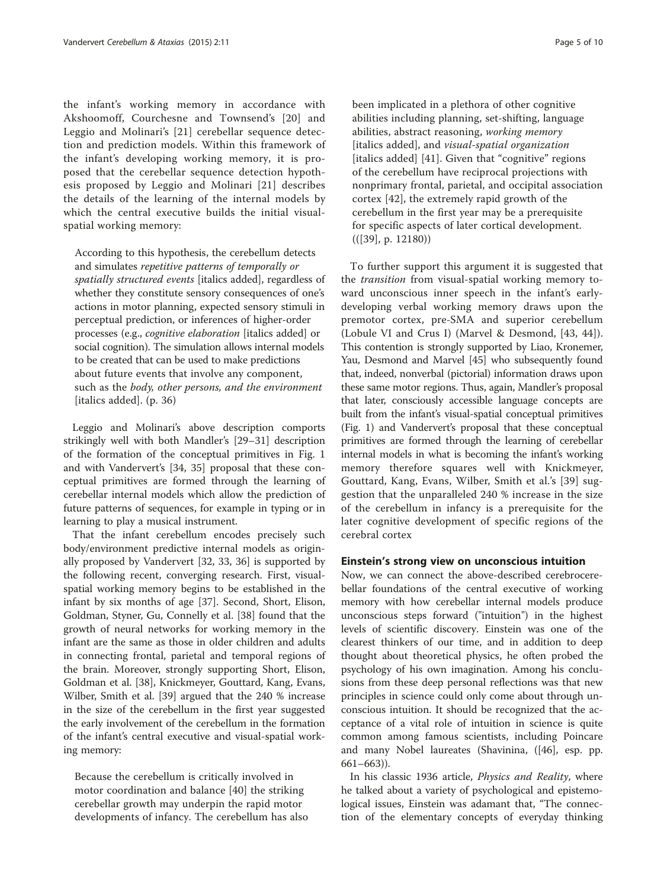the infant's working memory in accordance with Akshoomoff, Courchesne and Townsend's [\[20\]](#page-8-0) and Leggio and Molinari's [\[21\]](#page-8-0) cerebellar sequence detection and prediction models. Within this framework of the infant's developing working memory, it is proposed that the cerebellar sequence detection hypothesis proposed by Leggio and Molinari [\[21\]](#page-8-0) describes the details of the learning of the internal models by which the central executive builds the initial visualspatial working memory:

According to this hypothesis, the cerebellum detects and simulates repetitive patterns of temporally or spatially structured events [italics added], regardless of whether they constitute sensory consequences of one's actions in motor planning, expected sensory stimuli in perceptual prediction, or inferences of higher-order processes (e.g., cognitive elaboration [italics added] or social cognition). The simulation allows internal models to be created that can be used to make predictions about future events that involve any component, such as the body, other persons, and the environment [italics added]. (p. 36)

Leggio and Molinari's above description comports strikingly well with both Mandler's [\[29](#page-8-0)–[31\]](#page-8-0) description of the formation of the conceptual primitives in Fig. [1](#page-3-0) and with Vandervert's [[34](#page-8-0), [35](#page-8-0)] proposal that these conceptual primitives are formed through the learning of cerebellar internal models which allow the prediction of future patterns of sequences, for example in typing or in learning to play a musical instrument.

That the infant cerebellum encodes precisely such body/environment predictive internal models as originally proposed by Vandervert [[32, 33, 36](#page-8-0)] is supported by the following recent, converging research. First, visualspatial working memory begins to be established in the infant by six months of age [\[37](#page-8-0)]. Second, Short, Elison, Goldman, Styner, Gu, Connelly et al. [[38\]](#page-8-0) found that the growth of neural networks for working memory in the infant are the same as those in older children and adults in connecting frontal, parietal and temporal regions of the brain. Moreover, strongly supporting Short, Elison, Goldman et al. [[38\]](#page-8-0), Knickmeyer, Gouttard, Kang, Evans, Wilber, Smith et al. [[39\]](#page-8-0) argued that the 240 % increase in the size of the cerebellum in the first year suggested the early involvement of the cerebellum in the formation of the infant's central executive and visual-spatial working memory:

Because the cerebellum is critically involved in motor coordination and balance [[40\]](#page-8-0) the striking cerebellar growth may underpin the rapid motor developments of infancy. The cerebellum has also been implicated in a plethora of other cognitive abilities including planning, set-shifting, language abilities, abstract reasoning, working memory [italics added], and visual-spatial organization [italics added] [\[41](#page-8-0)]. Given that "cognitive" regions of the cerebellum have reciprocal projections with nonprimary frontal, parietal, and occipital association cortex [\[42](#page-8-0)], the extremely rapid growth of the cerebellum in the first year may be a prerequisite for specific aspects of later cortical development. (([[39\]](#page-8-0), p. 12180))

To further support this argument it is suggested that the transition from visual-spatial working memory toward unconscious inner speech in the infant's earlydeveloping verbal working memory draws upon the premotor cortex, pre-SMA and superior cerebellum (Lobule VI and Crus I) (Marvel & Desmond, [[43, 44\]](#page-8-0)). This contention is strongly supported by Liao, Kronemer, Yau, Desmond and Marvel [\[45\]](#page-8-0) who subsequently found that, indeed, nonverbal (pictorial) information draws upon these same motor regions. Thus, again, Mandler's proposal that later, consciously accessible language concepts are built from the infant's visual-spatial conceptual primitives (Fig. [1](#page-3-0)) and Vandervert's proposal that these conceptual primitives are formed through the learning of cerebellar internal models in what is becoming the infant's working memory therefore squares well with Knickmeyer, Gouttard, Kang, Evans, Wilber, Smith et al.'s [[39\]](#page-8-0) suggestion that the unparalleled 240 % increase in the size of the cerebellum in infancy is a prerequisite for the later cognitive development of specific regions of the cerebral cortex

### Einstein's strong view on unconscious intuition

Now, we can connect the above-described cerebrocerebellar foundations of the central executive of working memory with how cerebellar internal models produce unconscious steps forward ("intuition") in the highest levels of scientific discovery. Einstein was one of the clearest thinkers of our time, and in addition to deep thought about theoretical physics, he often probed the psychology of his own imagination. Among his conclusions from these deep personal reflections was that new principles in science could only come about through unconscious intuition. It should be recognized that the acceptance of a vital role of intuition in science is quite common among famous scientists, including Poincare and many Nobel laureates (Shavinina, ([[46](#page-8-0)], esp. pp. 661–663)).

In his classic 1936 article, Physics and Reality, where he talked about a variety of psychological and epistemological issues, Einstein was adamant that, "The connection of the elementary concepts of everyday thinking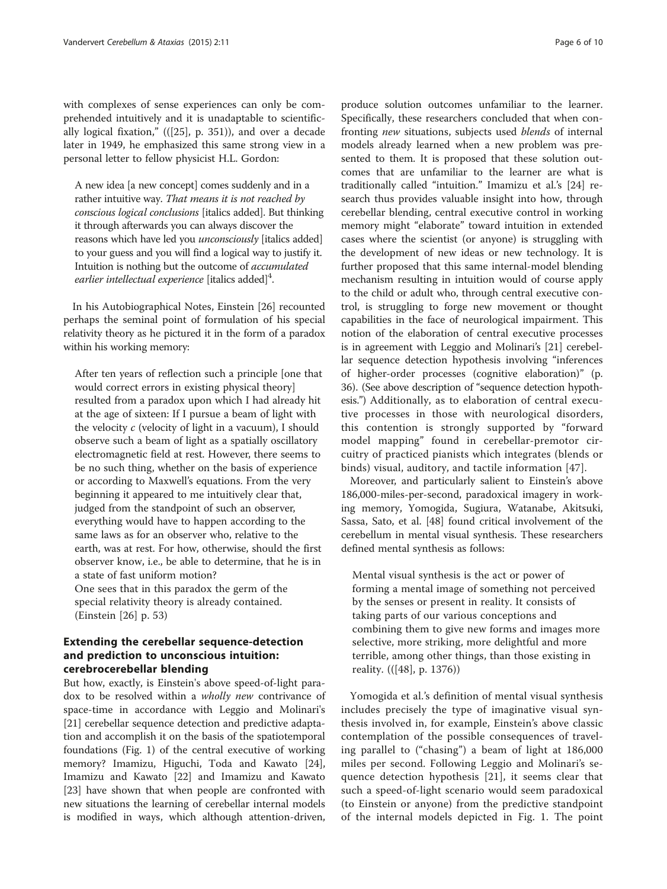with complexes of sense experiences can only be comprehended intuitively and it is unadaptable to scientifically logical fixation," (([\[25](#page-8-0)], p. 351)), and over a decade later in 1949, he emphasized this same strong view in a personal letter to fellow physicist H.L. Gordon:

A new idea [a new concept] comes suddenly and in a rather intuitive way. That means it is not reached by conscious logical conclusions [italics added]. But thinking it through afterwards you can always discover the reasons which have led you *unconsciously* [italics added] to your guess and you will find a logical way to justify it. Intuition is nothing but the outcome of accumulated earlier intellectual experience [italics added]<sup>4</sup>.

In his Autobiographical Notes, Einstein [\[26](#page-8-0)] recounted perhaps the seminal point of formulation of his special relativity theory as he pictured it in the form of a paradox within his working memory:

After ten years of reflection such a principle [one that would correct errors in existing physical theory] resulted from a paradox upon which I had already hit at the age of sixteen: If I pursue a beam of light with the velocity c (velocity of light in a vacuum), I should observe such a beam of light as a spatially oscillatory electromagnetic field at rest. However, there seems to be no such thing, whether on the basis of experience or according to Maxwell's equations. From the very beginning it appeared to me intuitively clear that, judged from the standpoint of such an observer, everything would have to happen according to the same laws as for an observer who, relative to the earth, was at rest. For how, otherwise, should the first observer know, i.e., be able to determine, that he is in a state of fast uniform motion?

One sees that in this paradox the germ of the special relativity theory is already contained. (Einstein [[26\]](#page-8-0) p. 53)

# Extending the cerebellar sequence-detection and prediction to unconscious intuition: cerebrocerebellar blending

But how, exactly, is Einstein's above speed-of-light paradox to be resolved within a *wholly new* contrivance of space-time in accordance with Leggio and Molinari's [[21\]](#page-8-0) cerebellar sequence detection and predictive adaptation and accomplish it on the basis of the spatiotemporal foundations (Fig. [1\)](#page-3-0) of the central executive of working memory? Imamizu, Higuchi, Toda and Kawato [\[24](#page-8-0)], Imamizu and Kawato [\[22](#page-8-0)] and Imamizu and Kawato [[23\]](#page-8-0) have shown that when people are confronted with new situations the learning of cerebellar internal models is modified in ways, which although attention-driven,

produce solution outcomes unfamiliar to the learner. Specifically, these researchers concluded that when confronting new situations, subjects used blends of internal models already learned when a new problem was presented to them. It is proposed that these solution outcomes that are unfamiliar to the learner are what is traditionally called "intuition." Imamizu et al.'s [[24](#page-8-0)] research thus provides valuable insight into how, through cerebellar blending, central executive control in working memory might "elaborate" toward intuition in extended cases where the scientist (or anyone) is struggling with the development of new ideas or new technology. It is further proposed that this same internal-model blending mechanism resulting in intuition would of course apply to the child or adult who, through central executive control, is struggling to forge new movement or thought capabilities in the face of neurological impairment. This notion of the elaboration of central executive processes is in agreement with Leggio and Molinari's [[21](#page-8-0)] cerebellar sequence detection hypothesis involving "inferences of higher-order processes (cognitive elaboration)" (p. 36). (See above description of "sequence detection hypothesis.") Additionally, as to elaboration of central executive processes in those with neurological disorders, this contention is strongly supported by "forward model mapping" found in cerebellar-premotor circuitry of practiced pianists which integrates (blends or binds) visual, auditory, and tactile information [[47\]](#page-8-0).

Moreover, and particularly salient to Einstein's above 186,000-miles-per-second, paradoxical imagery in working memory, Yomogida, Sugiura, Watanabe, Akitsuki, Sassa, Sato, et al. [[48](#page-8-0)] found critical involvement of the cerebellum in mental visual synthesis. These researchers defined mental synthesis as follows:

Mental visual synthesis is the act or power of forming a mental image of something not perceived by the senses or present in reality. It consists of taking parts of our various conceptions and combining them to give new forms and images more selective, more striking, more delightful and more terrible, among other things, than those existing in reality. (([[48\]](#page-8-0), p. 1376))

Yomogida et al.'s definition of mental visual synthesis includes precisely the type of imaginative visual synthesis involved in, for example, Einstein's above classic contemplation of the possible consequences of traveling parallel to ("chasing") a beam of light at 186,000 miles per second. Following Leggio and Molinari's sequence detection hypothesis [[21](#page-8-0)], it seems clear that such a speed-of-light scenario would seem paradoxical (to Einstein or anyone) from the predictive standpoint of the internal models depicted in Fig. [1.](#page-3-0) The point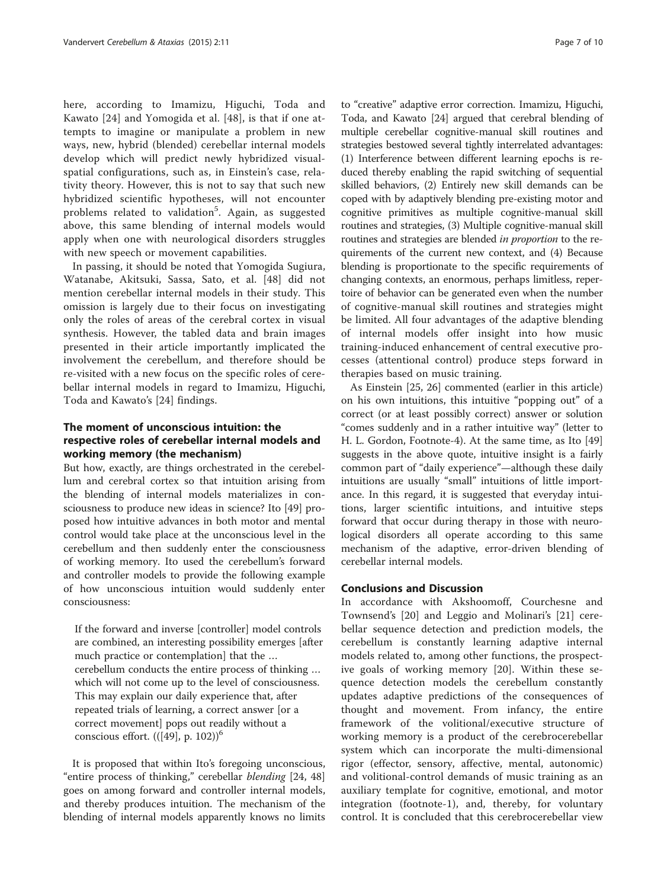here, according to Imamizu, Higuchi, Toda and Kawato [[24\]](#page-8-0) and Yomogida et al. [[48](#page-8-0)], is that if one attempts to imagine or manipulate a problem in new ways, new, hybrid (blended) cerebellar internal models develop which will predict newly hybridized visualspatial configurations, such as, in Einstein's case, relativity theory. However, this is not to say that such new hybridized scientific hypotheses, will not encounter problems related to validation<sup>5</sup>. Again, as suggested above, this same blending of internal models would apply when one with neurological disorders struggles with new speech or movement capabilities.

In passing, it should be noted that Yomogida Sugiura, Watanabe, Akitsuki, Sassa, Sato, et al. [\[48](#page-8-0)] did not mention cerebellar internal models in their study. This omission is largely due to their focus on investigating only the roles of areas of the cerebral cortex in visual synthesis. However, the tabled data and brain images presented in their article importantly implicated the involvement the cerebellum, and therefore should be re-visited with a new focus on the specific roles of cerebellar internal models in regard to Imamizu, Higuchi, Toda and Kawato's [\[24](#page-8-0)] findings.

# The moment of unconscious intuition: the respective roles of cerebellar internal models and working memory (the mechanism)

But how, exactly, are things orchestrated in the cerebellum and cerebral cortex so that intuition arising from the blending of internal models materializes in consciousness to produce new ideas in science? Ito [\[49\]](#page-8-0) proposed how intuitive advances in both motor and mental control would take place at the unconscious level in the cerebellum and then suddenly enter the consciousness of working memory. Ito used the cerebellum's forward and controller models to provide the following example of how unconscious intuition would suddenly enter consciousness:

If the forward and inverse [controller] model controls are combined, an interesting possibility emerges [after much practice or contemplation] that the … cerebellum conducts the entire process of thinking … which will not come up to the level of consciousness. This may explain our daily experience that, after repeated trials of learning, a correct answer [or a correct movement] pops out readily without a conscious effort.  $(([49], p. 102))^6$  $(([49], p. 102))^6$  $(([49], p. 102))^6$ 

It is proposed that within Ito's foregoing unconscious, "entire process of thinking," cerebellar blending [[24, 48](#page-8-0)] goes on among forward and controller internal models, and thereby produces intuition. The mechanism of the blending of internal models apparently knows no limits

to "creative" adaptive error correction. Imamizu, Higuchi, Toda, and Kawato [\[24\]](#page-8-0) argued that cerebral blending of multiple cerebellar cognitive-manual skill routines and strategies bestowed several tightly interrelated advantages: (1) Interference between different learning epochs is reduced thereby enabling the rapid switching of sequential skilled behaviors, (2) Entirely new skill demands can be coped with by adaptively blending pre-existing motor and cognitive primitives as multiple cognitive-manual skill routines and strategies, (3) Multiple cognitive-manual skill routines and strategies are blended in proportion to the requirements of the current new context, and (4) Because blending is proportionate to the specific requirements of changing contexts, an enormous, perhaps limitless, repertoire of behavior can be generated even when the number of cognitive-manual skill routines and strategies might be limited. All four advantages of the adaptive blending of internal models offer insight into how music training-induced enhancement of central executive processes (attentional control) produce steps forward in therapies based on music training.

As Einstein [[25, 26\]](#page-8-0) commented (earlier in this article) on his own intuitions, this intuitive "popping out" of a correct (or at least possibly correct) answer or solution "comes suddenly and in a rather intuitive way" (letter to H. L. Gordon, Footnote-4). At the same time, as Ito [[49](#page-8-0)] suggests in the above quote, intuitive insight is a fairly common part of "daily experience"—although these daily intuitions are usually "small" intuitions of little importance. In this regard, it is suggested that everyday intuitions, larger scientific intuitions, and intuitive steps forward that occur during therapy in those with neurological disorders all operate according to this same mechanism of the adaptive, error-driven blending of cerebellar internal models.

# Conclusions and Discussion

In accordance with Akshoomoff, Courchesne and Townsend's [\[20](#page-8-0)] and Leggio and Molinari's [[21\]](#page-8-0) cerebellar sequence detection and prediction models, the cerebellum is constantly learning adaptive internal models related to, among other functions, the prospective goals of working memory [[20](#page-8-0)]. Within these sequence detection models the cerebellum constantly updates adaptive predictions of the consequences of thought and movement. From infancy, the entire framework of the volitional/executive structure of working memory is a product of the cerebrocerebellar system which can incorporate the multi-dimensional rigor (effector, sensory, affective, mental, autonomic) and volitional-control demands of music training as an auxiliary template for cognitive, emotional, and motor integration (footnote-1), and, thereby, for voluntary control. It is concluded that this cerebrocerebellar view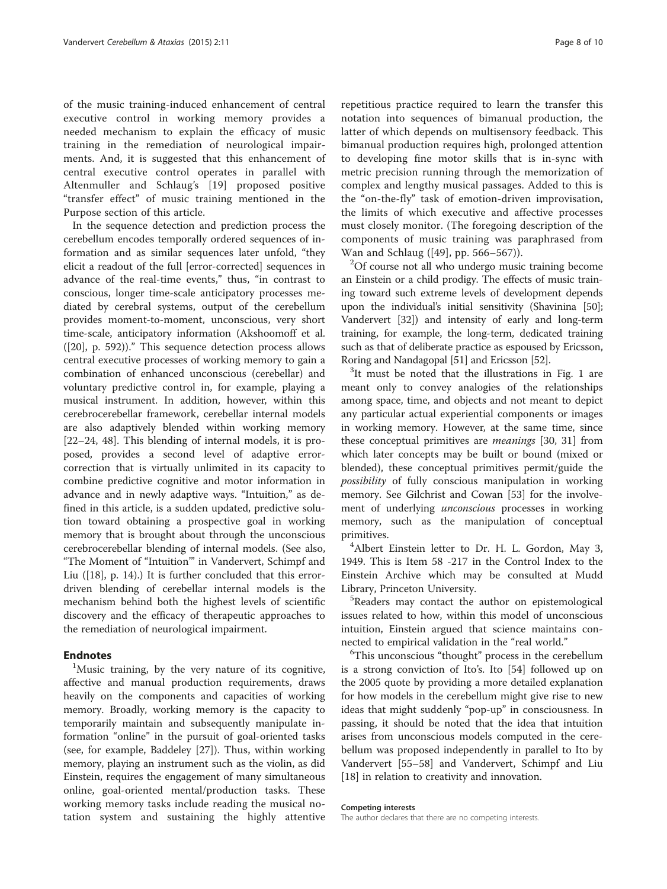of the music training-induced enhancement of central executive control in working memory provides a needed mechanism to explain the efficacy of music training in the remediation of neurological impairments. And, it is suggested that this enhancement of central executive control operates in parallel with Altenmuller and Schlaug's [\[19\]](#page-8-0) proposed positive "transfer effect" of music training mentioned in the Purpose section of this article.

In the sequence detection and prediction process the cerebellum encodes temporally ordered sequences of information and as similar sequences later unfold, "they elicit a readout of the full [error-corrected] sequences in advance of the real-time events," thus, "in contrast to conscious, longer time-scale anticipatory processes mediated by cerebral systems, output of the cerebellum provides moment-to-moment, unconscious, very short time-scale, anticipatory information (Akshoomoff et al. ([\[20\]](#page-8-0), p. 592))." This sequence detection process allows central executive processes of working memory to gain a combination of enhanced unconscious (cerebellar) and voluntary predictive control in, for example, playing a musical instrument. In addition, however, within this cerebrocerebellar framework, cerebellar internal models are also adaptively blended within working memory [[22](#page-8-0)–[24](#page-8-0), [48](#page-8-0)]. This blending of internal models, it is proposed, provides a second level of adaptive errorcorrection that is virtually unlimited in its capacity to combine predictive cognitive and motor information in advance and in newly adaptive ways. "Intuition," as defined in this article, is a sudden updated, predictive solution toward obtaining a prospective goal in working memory that is brought about through the unconscious cerebrocerebellar blending of internal models. (See also, "The Moment of "Intuition'" in Vandervert, Schimpf and Liu ([[18\]](#page-8-0), p. 14).) It is further concluded that this errordriven blending of cerebellar internal models is the mechanism behind both the highest levels of scientific discovery and the efficacy of therapeutic approaches to the remediation of neurological impairment.

## **Endnotes**

<sup>1</sup>Music training, by the very nature of its cognitive, affective and manual production requirements, draws heavily on the components and capacities of working memory. Broadly, working memory is the capacity to temporarily maintain and subsequently manipulate information "online" in the pursuit of goal-oriented tasks (see, for example, Baddeley [[27\]](#page-8-0)). Thus, within working memory, playing an instrument such as the violin, as did Einstein, requires the engagement of many simultaneous online, goal-oriented mental/production tasks. These working memory tasks include reading the musical notation system and sustaining the highly attentive

repetitious practice required to learn the transfer this notation into sequences of bimanual production, the latter of which depends on multisensory feedback. This bimanual production requires high, prolonged attention to developing fine motor skills that is in-sync with metric precision running through the memorization of complex and lengthy musical passages. Added to this is the "on-the-fly" task of emotion-driven improvisation, the limits of which executive and affective processes must closely monitor. (The foregoing description of the components of music training was paraphrased from Wan and Schlaug ([[49\]](#page-8-0), pp. 566–567)).

<sup>2</sup>Of course not all who undergo music training become an Einstein or a child prodigy. The effects of music training toward such extreme levels of development depends upon the individual's initial sensitivity (Shavinina [[50](#page-8-0)]; Vandervert [\[32](#page-8-0)]) and intensity of early and long-term training, for example, the long-term, dedicated training such as that of deliberate practice as espoused by Ericsson, Roring and Nandagopal [\[51\]](#page-8-0) and Ericsson [\[52\]](#page-8-0).

 ${}^{3}$ It must be noted that the illustrations in Fig. [1](#page-3-0) are meant only to convey analogies of the relationships among space, time, and objects and not meant to depict any particular actual experiential components or images in working memory. However, at the same time, since these conceptual primitives are *meanings* [[30](#page-8-0), [31](#page-8-0)] from which later concepts may be built or bound (mixed or blended), these conceptual primitives permit/guide the possibility of fully conscious manipulation in working memory. See Gilchrist and Cowan [\[53](#page-9-0)] for the involvement of underlying unconscious processes in working memory, such as the manipulation of conceptual primitives. <sup>4</sup>

<sup>4</sup>Albert Einstein letter to Dr. H. L. Gordon, May 3, 1949. This is Item 58 -217 in the Control Index to the Einstein Archive which may be consulted at Mudd Library, Princeton University.

Readers may contact the author on epistemological issues related to how, within this model of unconscious intuition, Einstein argued that science maintains connected to empirical validation in the "real world." <sup>6</sup>

This unconscious "thought" process in the cerebellum is a strong conviction of Ito's. Ito [[54](#page-9-0)] followed up on the 2005 quote by providing a more detailed explanation for how models in the cerebellum might give rise to new ideas that might suddenly "pop-up" in consciousness. In passing, it should be noted that the idea that intuition arises from unconscious models computed in the cerebellum was proposed independently in parallel to Ito by Vandervert [[55](#page-9-0)–[58](#page-9-0)] and Vandervert, Schimpf and Liu [[18\]](#page-8-0) in relation to creativity and innovation.

#### Competing interests

The author declares that there are no competing interests.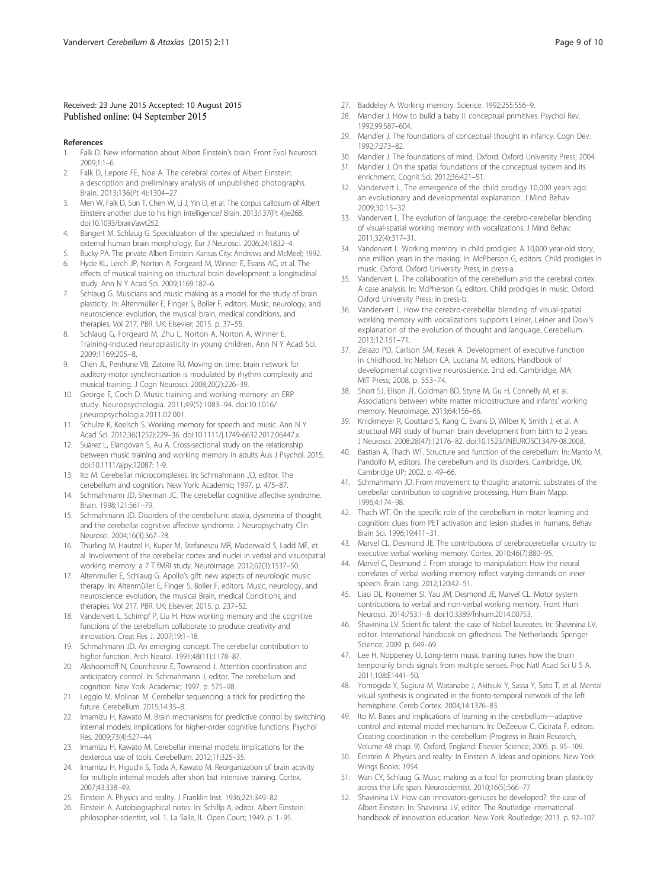#### <span id="page-8-0"></span>Received: 23 June 2015 Accepted: 10 August 2015 Published online: 04 September 2015

#### References

- Falk D. New information about Albert Einstein's brain. Front Evol Neurosci. 2009;1:1–6.
- 2. Falk D, Lepore FE, Noe A. The cerebral cortex of Albert Einstein: a description and preliminary analysis of unpublished photographs. Brain. 2013;136(Pt 4):1304–27.
- 3. Men W, Falk D, Sun T, Chen W, Li J, Yin D, et al. The corpus callosum of Albert Einstein: another clue to his high intelligence? Brain. 2013;137(Pt 4):e268. doi:[10.1093/brain/awt252](http://dx.doi.org/10.1093/brain/awt252).
- 4. Bangert M, Schlaug G. Specialization of the specialized in features of external human brain morphology. Eur J Neurosci. 2006;24:1832–4.
- 5. Bucky PA. The private Albert Einstein. Kansas City: Andrews and McMeel; 1992.
- 6. Hyde KL, Lerch JP, Norton A, Forgeard M, Winner E, Evans AC, et al. The effects of musical training on structural brain development: a longitudinal study. Ann N Y Acad Sci. 2009;1169:182–6.
- 7. Schlaug G. Musicians and music making as a model for the study of brain plasticity. In: Altenmüller E, Finger S, Boller F, editors. Music, neurology, and neuroscience: evolution, the musical brain, medical conditions, and therapies, Vol 217, PBR. UK: Elsevier; 2015. p. 37–55.
- 8. Schlaug G, Forgeard M, Zhu L, Norton A, Norton A, Winner E. Training-induced neuroplasticity in young children. Ann N Y Acad Sci. 2009;1169:205–8.
- 9. Chen JL, Penhune VB, Zatorre RJ. Moving on time: brain network for auditory-motor synchronization is modulated by rhythm complexity and musical training. J Cogn Neurosci. 2008;20(2):226–39.
- 10. George E, Coch D. Music training and working memory: an ERP study. Neuropsychologia. 2011;49(5):1083–94. doi:[10.1016/](http://dx.doi.org/10.1016/j.neuropsychologia.2011.02.001) [j.neuropsychologia.2011.02.001](http://dx.doi.org/10.1016/j.neuropsychologia.2011.02.001).
- 11. Schulze K, Koelsch S. Working memory for speech and music. Ann N Y Acad Sci. 2012;36(1252):229–36. doi:[10.1111/j.1749-6632.2012.06447.x](http://dx.doi.org/10.1111/j.1749-6632.2012.06447.x).
- 12. Suárez L, Elangovan S, Au A. Cross-sectional study on the relationship between music training and working memory in adults Aus J Psychol. 2015; doi[:10.1111/ajpy.12087:](http://dx.doi.org/10.1111/ajpy.12087) 1-9.
- 13. Ito M. Cerebellar microcomplexes. In: Schmahmann JD, editor. The cerebellum and cognition. New York: Academic; 1997. p. 475–87.
- 14. Schmahmann JD, Sherman JC. The cerebellar cognitive affective syndrome. Brain. 1998;121:561–79.
- 15. Schmahmann JD. Disorders of the cerebellum: ataxia, dysmetria of thought, and the cerebellar cognitive affective syndrome. J Neuropsychiatry Clin Neurosci. 2004;16(3):367–78.
- 16. Thurling M, Hautzel H, Kuper M, Stefanescu MR, Maderwald S, Ladd ME, et al. Involvement of the cerebellar cortex and nuclei in verbal and visuospatial working memory: a 7 T fMRI study. Neuroimage. 2012;62(3):1537–50.
- 17. Altenmuller E, Schlaug G. Apollo's gift: new aspects of neurologic music therapy. In: Altenmüller E, Finger S, Boller F, editors. Music, neurology, and neuroscience: evolution, the musical Brain, medical Conditions, and therapies. Vol 217. PBR. UK: Elsevier; 2015. p. 237–52.
- 18. Vandervert L, Schimpf P, Liu H. How working memory and the cognitive functions of the cerebellum collaborate to produce creativity and innovation. Creat Res J. 2007;19:1–18.
- 19. Schmahmann JD. An emerging concept. The cerebellar contribution to higher function. Arch Neurol. 1991;48(11):1178–87.
- 20. Akshoomoff N, Courchesne E, Townsend J. Attention coordination and anticipatory control. In: Schmahmann J, editor. The cerebellum and cognition. New York: Academic; 1997. p. 575–98.
- 21. Leggio M, Molinari M. Cerebellar sequencing: a trick for predicting the future. Cerebellum. 2015;14:35–8.
- 22. Imamizu H, Kawato M. Brain mechanisms for predictive control by switching internal models: implications for higher-order cognitive functions. Psychol Res. 2009;73(4):527–44.
- 23. Imamizu H, Kawato M. Cerebellar internal models: implications for the dexterous use of tools. Cerebellum. 2012;11:325–35.
- 24. Imamizu H, Higuchi S, Toda A, Kawato M. Reorganization of brain activity for multiple internal models after short but intensive training. Cortex. 2007;43:338–49.
- 25. Einstein A. Physics and reality. J Franklin Inst. 1936;221:349–82.
- 26. Einstein A. Autobiographical notes. In: Schillp A, editor. Albert Einstein: philosopher-scientist, vol. 1. La Salle, IL: Open Court; 1949. p. 1–95.
- 27. Baddeley A. Working memory. Science. 1992;255:556–9.
- 28. Mandler J. How to build a baby II: conceptual primitives. Psychol Rev. 1992;99:587–604.
- 29. Mandler J. The foundations of conceptual thought in infancy. Cogn Dev. 1992;7:273–82.
- 30. Mandler J. The foundations of mind. Oxford: Oxford University Press; 2004.
- 31. Mandler J. On the spatial foundations of the conceptual system and its enrichment. Cognit Sci. 2012;36:421–51.
- 32. Vandervert L. The emergence of the child prodigy 10,000 years ago: an evolutionary and developmental explanation. J Mind Behav. 2009;30:15–32.
- 33. Vandervert L. The evolution of language: the cerebro-cerebellar blending of visual-spatial working memory with vocalizations. J Mind Behav. 2011;32(4):317–31.
- 34. Vandervert L. Working memory in child prodigies: A 10,000 year-old story, one million years in the making. In: McPherson G, editors. Child prodigies in music. Oxford. Oxford University Press; in press-a.
- 35. Vandervert L. The collaboration of the cerebellum and the cerebral cortex: A case analysis. In: McPherson G, editors. Child prodigies in music. Oxford. Oxford University Press; in press-b.
- 36. Vandervert L. How the cerebro-cerebellar blending of visual-spatial working memory with vocalizations supports Leiner, Leiner and Dow's explanation of the evolution of thought and language. Cerebellum. 2013;12:151–71.
- 37. Zelazo PD, Carlson SM, Kesek A. Development of executive function in childhood. In: Nelson CA, Luciana M, editors. Handbook of developmental cognitive neuroscience. 2nd ed. Cambridge, MA: MIT Press; 2008. p. 553–74.
- Short SJ, Elison JT, Goldman BD, Styne M, Gu H, Connelly M, et al. Associations between white matter microstructure and infants' working memory. Neuroimage. 2013;64:156–66.
- 39. Knickmeyer R, Gouttard S, Kang C, Evans D, Wilber K, Smith J, et al. A structural MRI study of human brain development from birth to 2 years. J Neurosci. 2008;28(47):12176–82. doi:[10.1523/JNEUROSCI.3479-08.2008](http://dx.doi.org/10.1523/JNEUROSCI.3479-08.2008).
- 40. Bastian A, Thach WT. Structure and function of the cerebellum. In: Manto M, Pandolfo M, editors. The cerebellum and its disorders. Cambridge, UK: Cambridge UP; 2002. p. 49–66.
- 41. Schmahmann JD. From movement to thought: anatomic substrates of the cerebellar contribution to cognitive processing. Hum Brain Mapp. 1996;4:174–98.
- 42. Thach WT. On the specific role of the cerebellum in motor learning and cognition: clues from PET activation and lesion studies in humans. Behav Brain Sci. 1996;19:411–31.
- 43. Marvel CL, Desmond JE. The contributions of cerebrocerebellar circuitry to executive verbal working memory. Cortex. 2010;46(7):880–95.
- 44. Marvel C, Desmond J. From storage to manipulation: How the neural correlates of verbal working memory reflect varying demands on inner speech. Brain Lang. 2012;120:42–51.
- 45. Liao DL, Kronemer SI, Yau JM, Desmond JE, Marvel CL. Motor system contributions to verbal and non-verbal working memory. Front Hum Neurosci. 2014;753:1–8. doi[:10.3389/fnhum.2014.00753](http://dx.doi.org/10.3389/fnhum.2014.00753).
- 46. Shavinina LV. Scientific talent: the case of Nobel laureates. In: Shavinina LV, editor. International handbook on giftedness. The Netherlands: Springer Science; 2009. p. 649–69.
- 47. Lee H, Noppeney U. Long-term music training tunes how the brain temporarily binds signals from multiple senses. Proc Natl Acad Sci U S A. 2011;108:E1441–50.
- 48. Yomogida Y, Sugiura M, Watanabe J, Akitsuki Y, Sassa Y, Sato T, et al. Mental visual synthesis is originated in the fronto-temporal network of the left hemisphere. Cereb Cortex. 2004;14:1376–83.
- 49. Ito M. Bases and implications of learning in the cerebellum—adaptive control and internal model mechanism. In: DeZeeuw C, Cicirata F, editors. Creating coordination in the cerebellum (Progress in Brain Research, Volume 48 chap. 9). Oxford, England: Elsevier Science; 2005. p. 95–109.
- 50. Einstein A. Physics and reality. In Einstein A, Ideas and opinions. New York: Wings Books; 1954.
- 51. Wan CY, Schlaug G. Music making as a tool for promoting brain plasticity across the Life span. Neuroscientist. 2010;16(5):566–77.
- 52. Shavinina LV. How can innovators-geniuses be developed?: the case of Albert Einstein. In: Shavinina LV, editor. The Routledge international handbook of innovation education. New York: Routledge; 2013. p. 92–107.